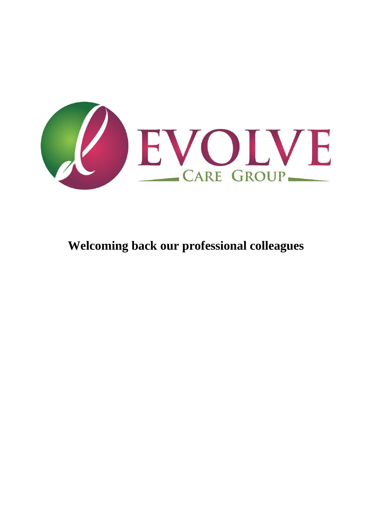

**Welcoming back our professional colleagues**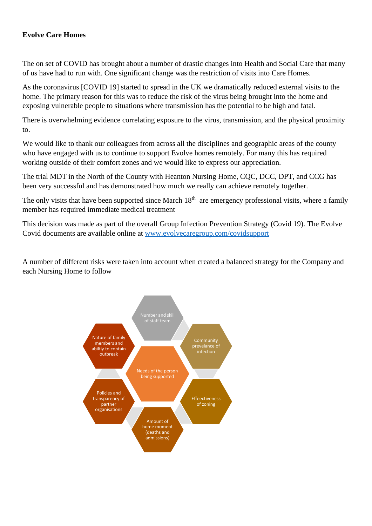# **Evolve Care Homes**

The on set of COVID has brought about a number of drastic changes into Health and Social Care that many of us have had to run with. One significant change was the restriction of visits into Care Homes.

As the coronavirus [COVID 19] started to spread in the UK we dramatically reduced external visits to the home. The primary reason for this was to reduce the risk of the virus being brought into the home and exposing vulnerable people to situations where transmission has the potential to be high and fatal.

There is overwhelming evidence correlating exposure to the virus, transmission, and the physical proximity to.

We would like to thank our colleagues from across all the disciplines and geographic areas of the county who have engaged with us to continue to support Evolve homes remotely. For many this has required working outside of their comfort zones and we would like to express our appreciation.

The trial MDT in the North of the County with Heanton Nursing Home, COC, DCC, DPT, and CCG has been very successful and has demonstrated how much we really can achieve remotely together.

The only visits that have been supported since March 18<sup>th</sup> are emergency professional visits, where a family member has required immediate medical treatment

This decision was made as part of the overall Group Infection Prevention Strategy (Covid 19). The Evolve Covid documents are available online at [www.evolvecaregroup.com/covidsupport](http://www.evolvecaregroup.com/covidsupport)

A number of different risks were taken into account when created a balanced strategy for the Company and each Nursing Home to follow

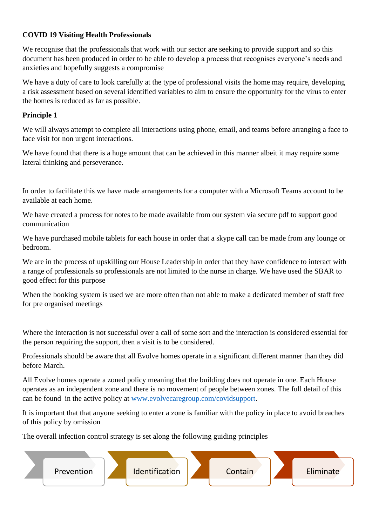# **COVID 19 Visiting Health Professionals**

We recognise that the professionals that work with our sector are seeking to provide support and so this document has been produced in order to be able to develop a process that recognises everyone's needs and anxieties and hopefully suggests a compromise

We have a duty of care to look carefully at the type of professional visits the home may require, developing a risk assessment based on several identified variables to aim to ensure the opportunity for the virus to enter the homes is reduced as far as possible.

# **Principle 1**

We will always attempt to complete all interactions using phone, email, and teams before arranging a face to face visit for non urgent interactions.

We have found that there is a huge amount that can be achieved in this manner albeit it may require some lateral thinking and perseverance.

In order to facilitate this we have made arrangements for a computer with a Microsoft Teams account to be available at each home.

We have created a process for notes to be made available from our system via secure pdf to support good communication

We have purchased mobile tablets for each house in order that a skype call can be made from any lounge or bedroom.

We are in the process of upskilling our House Leadership in order that they have confidence to interact with a range of professionals so professionals are not limited to the nurse in charge. We have used the SBAR to good effect for this purpose

When the booking system is used we are more often than not able to make a dedicated member of staff free for pre organised meetings

Where the interaction is not successful over a call of some sort and the interaction is considered essential for the person requiring the support, then a visit is to be considered.

Professionals should be aware that all Evolve homes operate in a significant different manner than they did before March.

All Evolve homes operate a zoned policy meaning that the building does not operate in one. Each House operates as an independent zone and there is no movement of people between zones. The full detail of this can be found in the active policy at [www.evolvecaregroup.com/covidsupport.](http://www.evolvecaregroup.com/covidsupport)

It is important that that anyone seeking to enter a zone is familiar with the policy in place to avoid breaches of this policy by omission

The overall infection control strategy is set along the following guiding principles

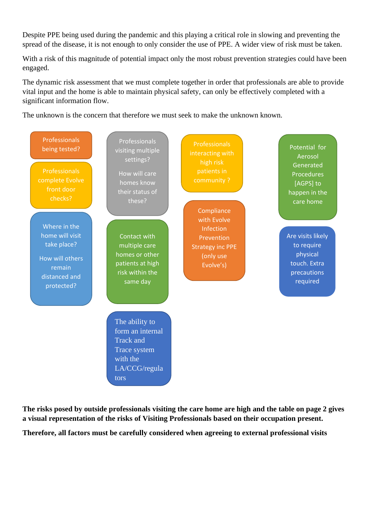Despite PPE being used during the pandemic and this playing a critical role in slowing and preventing the spread of the disease, it is not enough to only consider the use of PPE. A wider view of risk must be taken.

With a risk of this magnitude of potential impact only the most robust prevention strategies could have been engaged.

The dynamic risk assessment that we must complete together in order that professionals are able to provide vital input and the home is able to maintain physical safety, can only be effectively completed with a significant information flow.

The unknown is the concern that therefore we must seek to make the unknown known.



**The risks posed by outside professionals visiting the care home are high and the table on page 2 gives a visual representation of the risks of Visiting Professionals based on their occupation present.** 

**Therefore, all factors must be carefully considered when agreeing to external professional visits**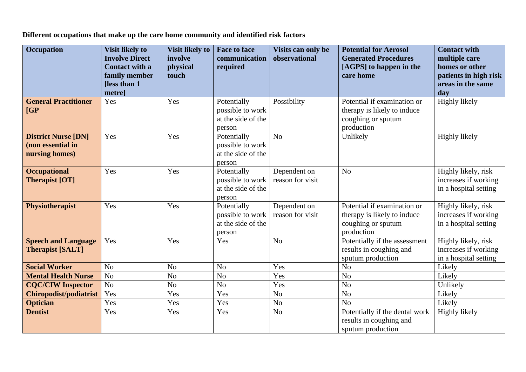**Different occupations that make up the care home community and identified risk factors** 

| <b>Occupation</b>                                                 | <b>Visit likely to</b><br><b>Involve Direct</b><br><b>Contact with a</b><br>family member | <b>Visit likely to</b><br>involve<br>physical<br>touch | <b>Face to face</b><br>communication<br>required                | Visits can only be<br>observational | <b>Potential for Aerosol</b><br><b>Generated Procedures</b><br>[AGPS] to happen in the<br>care home | <b>Contact with</b><br>multiple care<br>homes or other<br>patients in high risk |
|-------------------------------------------------------------------|-------------------------------------------------------------------------------------------|--------------------------------------------------------|-----------------------------------------------------------------|-------------------------------------|-----------------------------------------------------------------------------------------------------|---------------------------------------------------------------------------------|
|                                                                   | <b>Iless than 1</b><br>metre]                                                             |                                                        |                                                                 |                                     |                                                                                                     | areas in the same<br>day                                                        |
| <b>General Practitioner</b><br>[GP]                               | Yes                                                                                       | Yes                                                    | Potentially<br>possible to work<br>at the side of the<br>person | Possibility                         | Potential if examination or<br>therapy is likely to induce<br>coughing or sputum<br>production      | <b>Highly likely</b>                                                            |
| <b>District Nurse [DN]</b><br>(non essential in<br>nursing homes) | Yes                                                                                       | Yes                                                    | Potentially<br>possible to work<br>at the side of the<br>person | No                                  | Unlikely                                                                                            | Highly likely                                                                   |
| <b>Occupational</b><br><b>Therapist [OT]</b>                      | Yes                                                                                       | Yes                                                    | Potentially<br>possible to work<br>at the side of the<br>person | Dependent on<br>reason for visit    | N <sub>o</sub>                                                                                      | Highly likely, risk<br>increases if working<br>in a hospital setting            |
| <b>Physiotherapist</b>                                            | Yes                                                                                       | Yes                                                    | Potentially<br>possible to work<br>at the side of the<br>person | Dependent on<br>reason for visit    | Potential if examination or<br>therapy is likely to induce<br>coughing or sputum<br>production      | Highly likely, risk<br>increases if working<br>in a hospital setting            |
| <b>Speech and Language</b><br><b>Therapist [SALT]</b>             | Yes                                                                                       | Yes                                                    | Yes                                                             | N <sub>o</sub>                      | Potentially if the assessment<br>results in coughing and<br>sputum production                       | Highly likely, risk<br>increases if working<br>in a hospital setting            |
| <b>Social Worker</b>                                              | No                                                                                        | N <sub>o</sub>                                         | N <sub>o</sub>                                                  | Yes                                 | N <sub>o</sub>                                                                                      | Likely                                                                          |
| <b>Mental Health Nurse</b>                                        | No                                                                                        | No                                                     | N <sub>o</sub>                                                  | Yes                                 | N <sub>o</sub>                                                                                      | Likely                                                                          |
| <b>CQC/CIW Inspector</b>                                          | No                                                                                        | N <sub>o</sub>                                         | N <sub>o</sub>                                                  | Yes                                 | N <sub>o</sub>                                                                                      | Unlikely                                                                        |
| <b>Chiropodist/podiatrist</b>                                     | Yes                                                                                       | Yes                                                    | Yes                                                             | N <sub>o</sub>                      | N <sub>o</sub>                                                                                      | Likely                                                                          |
| <b>Optician</b>                                                   | Yes                                                                                       | Yes                                                    | Yes                                                             | N <sub>o</sub>                      | N <sub>o</sub>                                                                                      | Likely                                                                          |
| <b>Dentist</b>                                                    | Yes                                                                                       | Yes                                                    | Yes                                                             | N <sub>o</sub>                      | Potentially if the dental work<br>results in coughing and<br>sputum production                      | Highly likely                                                                   |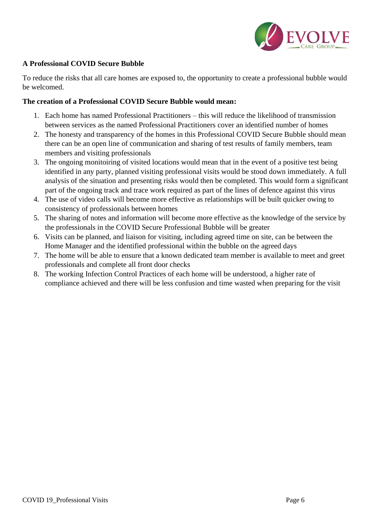

# **A Professional COVID Secure Bubble**

To reduce the risks that all care homes are exposed to, the opportunity to create a professional bubble would be welcomed.

### **The creation of a Professional COVID Secure Bubble would mean:**

- 1. Each home has named Professional Practitioners this will reduce the likelihood of transmission between services as the named Professional Practitioners cover an identified number of homes
- 2. The honesty and transparency of the homes in this Professional COVID Secure Bubble should mean there can be an open line of communication and sharing of test results of family members, team members and visiting professionals
- 3. The ongoing monitoiring of visited locations would mean that in the event of a positive test being identified in any party, planned visiting professional visits would be stood down immediately. A full analysis of the situation and presenting risks would then be completed. This would form a significant part of the ongoing track and trace work required as part of the lines of defence against this virus
- 4. The use of video calls will become more effective as relationships will be built quicker owing to consistency of professionals between homes
- 5. The sharing of notes and information will become more effective as the knowledge of the service by the professionals in the COVID Secure Professional Bubble will be greater
- 6. Visits can be planned, and liaison for visiting, including agreed time on site, can be between the Home Manager and the identified professional within the bubble on the agreed days
- 7. The home will be able to ensure that a known dedicated team member is available to meet and greet professionals and complete all front door checks
- 8. The working Infection Control Practices of each home will be understood, a higher rate of compliance achieved and there will be less confusion and time wasted when preparing for the visit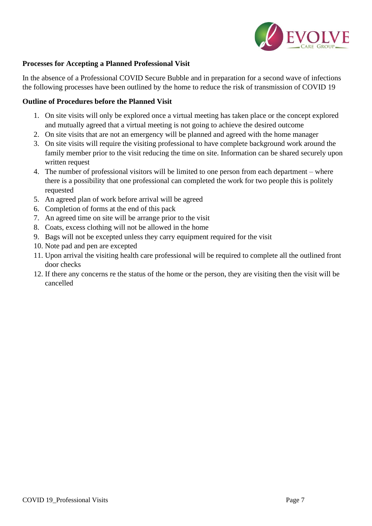

### **Processes for Accepting a Planned Professional Visit**

In the absence of a Professional COVID Secure Bubble and in preparation for a second wave of infections the following processes have been outlined by the home to reduce the risk of transmission of COVID 19

#### **Outline of Procedures before the Planned Visit**

- 1. On site visits will only be explored once a virtual meeting has taken place or the concept explored and mutually agreed that a virtual meeting is not going to achieve the desired outcome
- 2. On site visits that are not an emergency will be planned and agreed with the home manager
- 3. On site visits will require the visiting professional to have complete background work around the family member prior to the visit reducing the time on site. Information can be shared securely upon written request
- 4. The number of professional visitors will be limited to one person from each department where there is a possibility that one professional can completed the work for two people this is politely requested
- 5. An agreed plan of work before arrival will be agreed
- 6. Completion of forms at the end of this pack
- 7. An agreed time on site will be arrange prior to the visit
- 8. Coats, excess clothing will not be allowed in the home
- 9. Bags will not be excepted unless they carry equipment required for the visit
- 10. Note pad and pen are excepted
- 11. Upon arrival the visiting health care professional will be required to complete all the outlined front door checks
- 12. If there any concerns re the status of the home or the person, they are visiting then the visit will be cancelled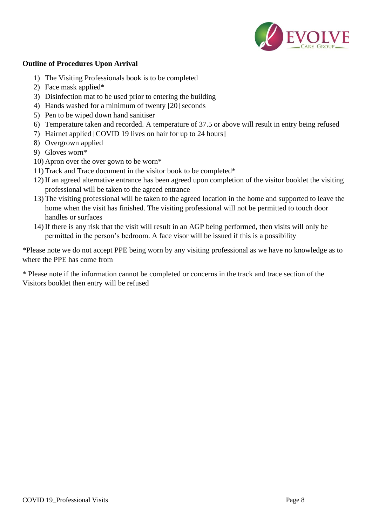

### **Outline of Procedures Upon Arrival**

- 1) The Visiting Professionals book is to be completed
- 2) Face mask applied\*
- 3) Disinfection mat to be used prior to entering the building
- 4) Hands washed for a minimum of twenty [20] seconds
- 5) Pen to be wiped down hand sanitiser
- 6) Temperature taken and recorded. A temperature of 37.5 or above will result in entry being refused
- 7) Hairnet applied [COVID 19 lives on hair for up to 24 hours]
- 8) Overgrown applied
- 9) Gloves worn\*
- 10) Apron over the over gown to be worn\*
- 11) Track and Trace document in the visitor book to be completed\*
- 12) If an agreed alternative entrance has been agreed upon completion of the visitor booklet the visiting professional will be taken to the agreed entrance
- 13) The visiting professional will be taken to the agreed location in the home and supported to leave the home when the visit has finished. The visiting professional will not be permitted to touch door handles or surfaces
- 14) If there is any risk that the visit will result in an AGP being performed, then visits will only be permitted in the person's bedroom. A face visor will be issued if this is a possibility

\*Please note we do not accept PPE being worn by any visiting professional as we have no knowledge as to where the PPE has come from

\* Please note if the information cannot be completed or concerns in the track and trace section of the Visitors booklet then entry will be refused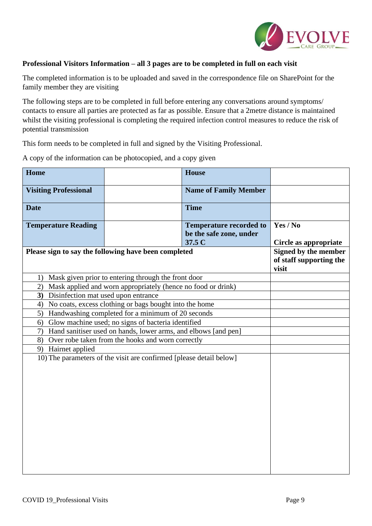

### **Professional Visitors Information – all 3 pages are to be completed in full on each visit**

The completed information is to be uploaded and saved in the correspondence file on SharePoint for the family member they are visiting

The following steps are to be completed in full before entering any conversations around symptoms/ contacts to ensure all parties are protected as far as possible. Ensure that a 2metre distance is maintained whilst the visiting professional is completing the required infection control measures to reduce the risk of potential transmission

This form needs to be completed in full and signed by the Visiting Professional.

A copy of the information can be photocopied, and a copy given

| Home                                                                 |                                                                     | <b>House</b>                   |                       |  |
|----------------------------------------------------------------------|---------------------------------------------------------------------|--------------------------------|-----------------------|--|
| <b>Visiting Professional</b>                                         |                                                                     | <b>Name of Family Member</b>   |                       |  |
|                                                                      |                                                                     |                                |                       |  |
| <b>Date</b>                                                          |                                                                     | <b>Time</b>                    |                       |  |
| <b>Temperature Reading</b>                                           |                                                                     | <b>Temperature recorded to</b> | Yes / No              |  |
|                                                                      |                                                                     | be the safe zone, under        |                       |  |
|                                                                      |                                                                     | 37.5 C                         | Circle as appropriate |  |
| Please sign to say the following have been completed                 | Signed by the member<br>of staff supporting the<br>visit            |                                |                       |  |
| 1)                                                                   | Mask given prior to entering through the front door                 |                                |                       |  |
| Mask applied and worn appropriately (hence no food or drink)<br>2)   |                                                                     |                                |                       |  |
| Disinfection mat used upon entrance<br>3)                            |                                                                     |                                |                       |  |
| No coats, excess clothing or bags bought into the home<br>4)         |                                                                     |                                |                       |  |
| Handwashing completed for a minimum of 20 seconds<br>5)              |                                                                     |                                |                       |  |
| Glow machine used; no signs of bacteria identified<br>6)             |                                                                     |                                |                       |  |
| Hand sanitiser used on hands, lower arms, and elbows [and pen]<br>7) |                                                                     |                                |                       |  |
| 9) Hairnet applied                                                   | 8)<br>Over robe taken from the hooks and worn correctly             |                                |                       |  |
|                                                                      | 10) The parameters of the visit are confirmed [please detail below] |                                |                       |  |
|                                                                      |                                                                     |                                |                       |  |
|                                                                      |                                                                     |                                |                       |  |
|                                                                      |                                                                     |                                |                       |  |
|                                                                      |                                                                     |                                |                       |  |
|                                                                      |                                                                     |                                |                       |  |
|                                                                      |                                                                     |                                |                       |  |
|                                                                      |                                                                     |                                |                       |  |
|                                                                      |                                                                     |                                |                       |  |
|                                                                      |                                                                     |                                |                       |  |
|                                                                      |                                                                     |                                |                       |  |
|                                                                      |                                                                     |                                |                       |  |
|                                                                      |                                                                     |                                |                       |  |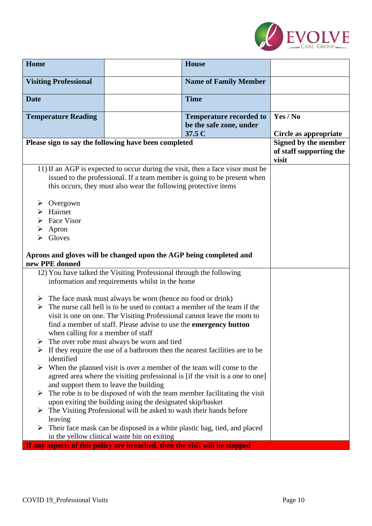

| Home                                                                                                                                            |                                                                                                                                  | <b>House</b>                                                                   |                       |  |  |
|-------------------------------------------------------------------------------------------------------------------------------------------------|----------------------------------------------------------------------------------------------------------------------------------|--------------------------------------------------------------------------------|-----------------------|--|--|
| <b>Visiting Professional</b>                                                                                                                    |                                                                                                                                  | <b>Name of Family Member</b>                                                   |                       |  |  |
|                                                                                                                                                 |                                                                                                                                  |                                                                                |                       |  |  |
| <b>Date</b>                                                                                                                                     |                                                                                                                                  | <b>Time</b>                                                                    |                       |  |  |
| <b>Temperature Reading</b>                                                                                                                      |                                                                                                                                  | <b>Temperature recorded to</b>                                                 | Yes / No              |  |  |
|                                                                                                                                                 |                                                                                                                                  | be the safe zone, under<br>37.5 C                                              | Circle as appropriate |  |  |
| Please sign to say the following have been completed                                                                                            |                                                                                                                                  |                                                                                | Signed by the member  |  |  |
|                                                                                                                                                 | of staff supporting the<br>visit                                                                                                 |                                                                                |                       |  |  |
|                                                                                                                                                 |                                                                                                                                  | 11) If an AGP is expected to occur during the visit, then a face visor must be |                       |  |  |
|                                                                                                                                                 |                                                                                                                                  | issued to the professional. If a team member is going to be present when       |                       |  |  |
|                                                                                                                                                 | this occurs, they must also wear the following protective items                                                                  |                                                                                |                       |  |  |
| Overgown<br>➤                                                                                                                                   |                                                                                                                                  |                                                                                |                       |  |  |
| Hairnet                                                                                                                                         |                                                                                                                                  |                                                                                |                       |  |  |
| Face Visor                                                                                                                                      |                                                                                                                                  |                                                                                |                       |  |  |
|                                                                                                                                                 | Apron<br>➤                                                                                                                       |                                                                                |                       |  |  |
|                                                                                                                                                 | Gloves                                                                                                                           |                                                                                |                       |  |  |
| Aprons and gloves will be changed upon the AGP being completed and                                                                              |                                                                                                                                  |                                                                                |                       |  |  |
| new PPE donned                                                                                                                                  |                                                                                                                                  |                                                                                |                       |  |  |
|                                                                                                                                                 | 12) You have talked the Visiting Professional through the following                                                              |                                                                                |                       |  |  |
|                                                                                                                                                 | information and requirements whilst in the home                                                                                  |                                                                                |                       |  |  |
|                                                                                                                                                 | $\triangleright$ The face mask must always be worn (hence no food or drink)                                                      |                                                                                |                       |  |  |
| ➤                                                                                                                                               |                                                                                                                                  | The nurse call bell is to be used to contact a member of the team if the       |                       |  |  |
|                                                                                                                                                 |                                                                                                                                  | visit is one on one. The Visiting Professional cannot leave the room to        |                       |  |  |
|                                                                                                                                                 | find a member of staff. Please advise to use the emergency button                                                                |                                                                                |                       |  |  |
| when calling for a member of staff                                                                                                              |                                                                                                                                  |                                                                                |                       |  |  |
| The over robe must always be worn and tied<br>➤<br>$\triangleright$ If they require the use of a bathroom then the nearest facilities are to be |                                                                                                                                  |                                                                                |                       |  |  |
| identified                                                                                                                                      |                                                                                                                                  |                                                                                |                       |  |  |
| When the planned visit is over a member of the team will come to the<br>➤                                                                       |                                                                                                                                  |                                                                                |                       |  |  |
| agreed area where the visiting professional is [if the visit is a one to one]                                                                   |                                                                                                                                  |                                                                                |                       |  |  |
| and support them to leave the building                                                                                                          |                                                                                                                                  |                                                                                |                       |  |  |
|                                                                                                                                                 | $\triangleright$ The robe is to be disposed of with the team member facilitating the visit                                       |                                                                                |                       |  |  |
|                                                                                                                                                 | upon exiting the building using the designated skip/basket<br>The Visiting Professional will be asked to wash their hands before |                                                                                |                       |  |  |
| leaving                                                                                                                                         |                                                                                                                                  |                                                                                |                       |  |  |
| ➤                                                                                                                                               | Their face mask can be disposed in a white plastic bag, tied, and placed                                                         |                                                                                |                       |  |  |
|                                                                                                                                                 | in the yellow clinical waste bin on exiting                                                                                      |                                                                                |                       |  |  |
|                                                                                                                                                 | If any aspects of this policy are breached, then the visit will be stopped                                                       |                                                                                |                       |  |  |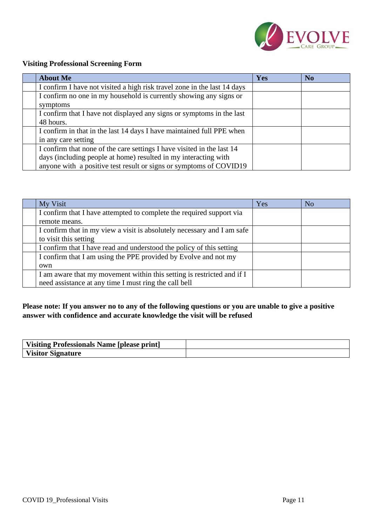

# **Visiting Professional Screening Form**

| <b>About Me</b>                                                          | Yes | N <sub>o</sub> |
|--------------------------------------------------------------------------|-----|----------------|
| I confirm I have not visited a high risk travel zone in the last 14 days |     |                |
| I confirm no one in my household is currently showing any signs or       |     |                |
| symptoms                                                                 |     |                |
| I confirm that I have not displayed any signs or symptoms in the last    |     |                |
| 48 hours.                                                                |     |                |
| I confirm in that in the last 14 days I have maintained full PPE when    |     |                |
| in any care setting                                                      |     |                |
| I confirm that none of the care settings I have visited in the last 14   |     |                |
| days (including people at home) resulted in my interacting with          |     |                |
| anyone with a positive test result or signs or symptoms of COVID19       |     |                |

| My Visit                                                                | Yes | N <sub>o</sub> |
|-------------------------------------------------------------------------|-----|----------------|
| I confirm that I have attempted to complete the required support via    |     |                |
| remote means.                                                           |     |                |
| I confirm that in my view a visit is absolutely necessary and I am safe |     |                |
| to visit this setting                                                   |     |                |
| I confirm that I have read and understood the policy of this setting    |     |                |
| I confirm that I am using the PPE provided by Evolve and not my         |     |                |
| own                                                                     |     |                |
| I am aware that my movement within this setting is restricted and if I  |     |                |
| need assistance at any time I must ring the call bell                   |     |                |

# **Please note: If you answer no to any of the following questions or you are unable to give a positive answer with confidence and accurate knowledge the visit will be refused**

| Visiting Professionals Name [please print] |  |
|--------------------------------------------|--|
| Visitor Signature                          |  |